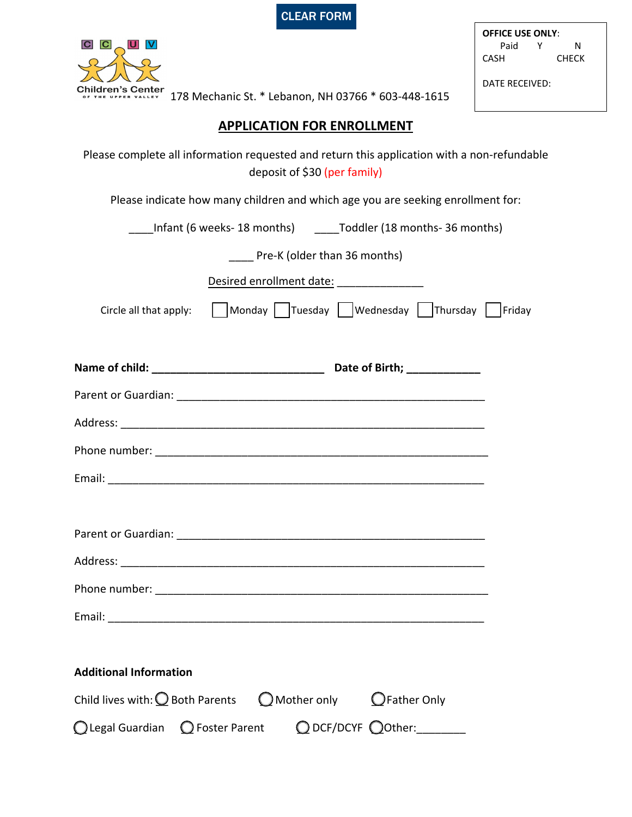| <b>ICLEAR FORM</b> |  |
|--------------------|--|
|                    |  |



**OFFICE USE ONLY**: Paid Y N CASH CHECK

DATE RECEIVED:

178 Mechanic St. \* Lebanon, NH 03766 \* 603-448-1615

## **APPLICATION FOR ENROLLMENT**

Please complete all information requested and return this application with a non-refundable deposit of \$30 (per family)

Please indicate how many children and which age you are seeking enrollment for:

Infant (6 weeks- 18 months) Toddler (18 months- 36 months)

Pre-K (older than 36 months)

| Desired enrollment date: _________________ |                                                |  |
|--------------------------------------------|------------------------------------------------|--|
| Circle all that apply:                     | Monday Tuesday   Wednesday   Thursday   Friday |  |
|                                            |                                                |  |
|                                            |                                                |  |
|                                            |                                                |  |
|                                            |                                                |  |
|                                            |                                                |  |
|                                            |                                                |  |
|                                            |                                                |  |
|                                            |                                                |  |
|                                            |                                                |  |
|                                            |                                                |  |

Email:

| <b>Additional Information</b>                                                           |  |                                       |  |
|-----------------------------------------------------------------------------------------|--|---------------------------------------|--|
| Child lives with: $\bigcirc$ Both Parents $\bigcirc$ Mother only $\bigcirc$ Father Only |  |                                       |  |
| ◯ Legal Guardian ◯ Foster Parent                                                        |  | $\bigcirc$ DCF/DCYF $\bigcirc$ Other: |  |